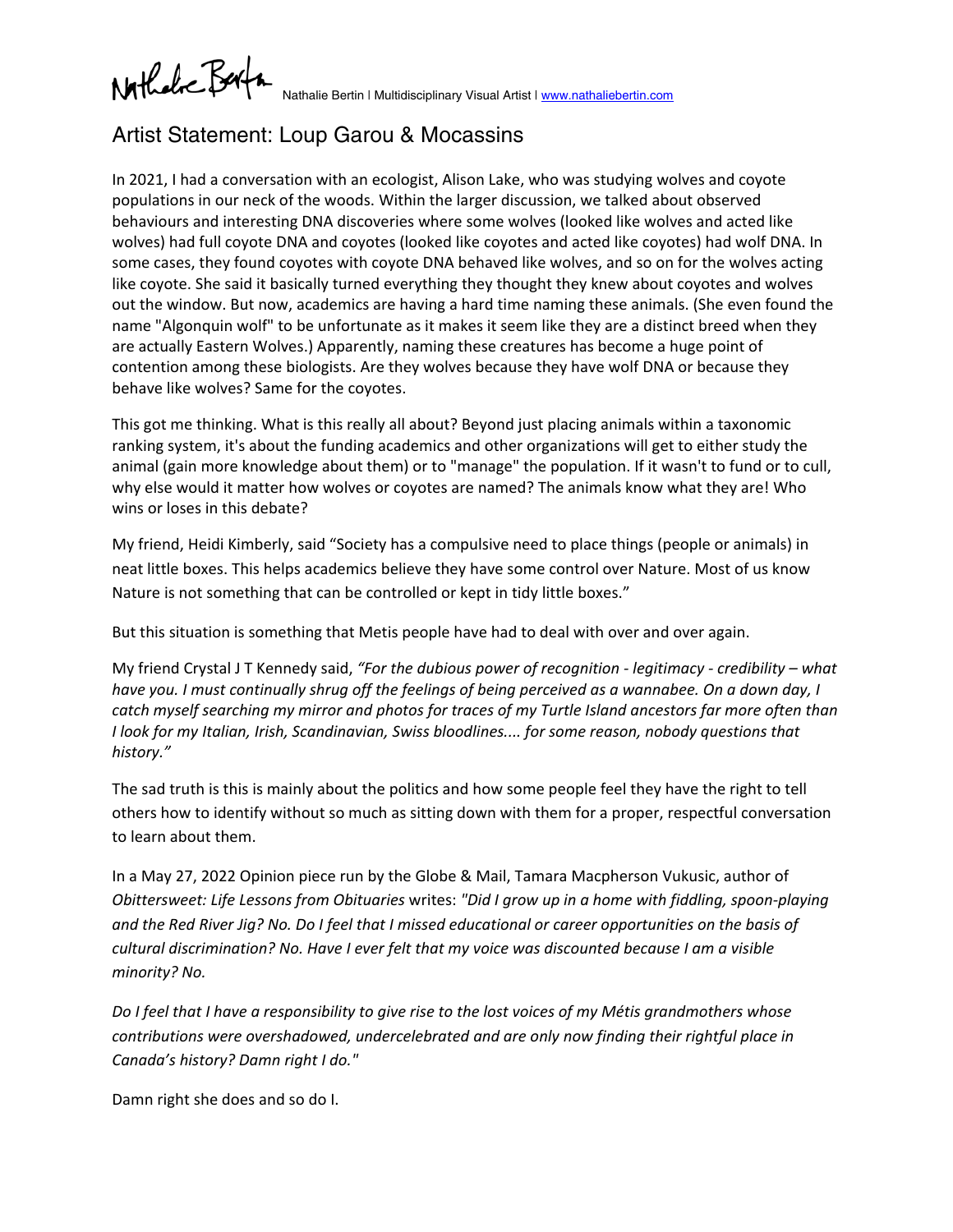Nathalic Berty

Nathalie Bertin | Multidisciplinary Visual Artist | [www.nathaliebertin.com](http://www.nathaliebertin.com/)

## Artist Statement: Loup Garou & Mocassins

In 2021, I had a conversation with an ecologist, Alison Lake, who was studying wolves and coyote populations in our neck of the woods. Within the larger discussion, we talked about observed behaviours and interesting DNA discoveries where some wolves (looked like wolves and acted like wolves) had full coyote DNA and coyotes (looked like coyotes and acted like coyotes) had wolf DNA. In some cases, they found coyotes with coyote DNA behaved like wolves, and so on for the wolves acting like coyote. She said it basically turned everything they thought they knew about coyotes and wolves out the window. But now, academics are having a hard time naming these animals. (She even found the name "Algonquin wolf" to be unfortunate as it makes it seem like they are a distinct breed when they are actually Eastern Wolves.) Apparently, naming these creatures has become a huge point of contention among these biologists. Are they wolves because they have wolf DNA or because they behave like wolves? Same for the coyotes.

This got me thinking. What is this really all about? Beyond just placing animals within a taxonomic ranking system, it's about the funding academics and other organizations will get to either study the animal (gain more knowledge about them) or to "manage" the population. If it wasn't to fund or to cull, why else would it matter how wolves or coyotes are named? The animals know what they are! Who wins or loses in this debate?

My friend, Heidi Kimberly, said "Society has a compulsive need to place things (people or animals) in neat little boxes. This helps academics believe they have some control over Nature. Most of us know Nature is not something that can be controlled or kept in tidy little boxes."

But this situation is something that Metis people have had to deal with over and over again.

My friend Crystal J T Kennedy said, *"For the dubious power of recognition - legitimacy - credibility – what have you. I must continually shrug off the feelings of being perceived as a wannabee. On a down day, I catch myself searching my mirror and photos for traces of my Turtle Island ancestors far more often than I look for my Italian, Irish, Scandinavian, Swiss bloodlines.... for some reason, nobody questions that history."*

The sad truth is this is mainly about the politics and how some people feel they have the right to tell others how to identify without so much as sitting down with them for a proper, respectful conversation to learn about them.

In a May 27, 2022 Opinion piece run by the Globe & Mail, Tamara Macpherson Vukusic, author of *Obittersweet: Life Lessons from Obituaries* writes: *"Did I grow up in a home with fiddling, spoon-playing and the Red River Jig? No. Do I feel that I missed educational or career opportunities on the basis of cultural discrimination? No. Have I ever felt that my voice was discounted because I am a visible minority? No.*

*Do I feel that I have a responsibility to give rise to the lost voices of my Métis grandmothers whose contributions were overshadowed, undercelebrated and are only now finding their rightful place in Canada's history? Damn right I do."*

Damn right she does and so do I.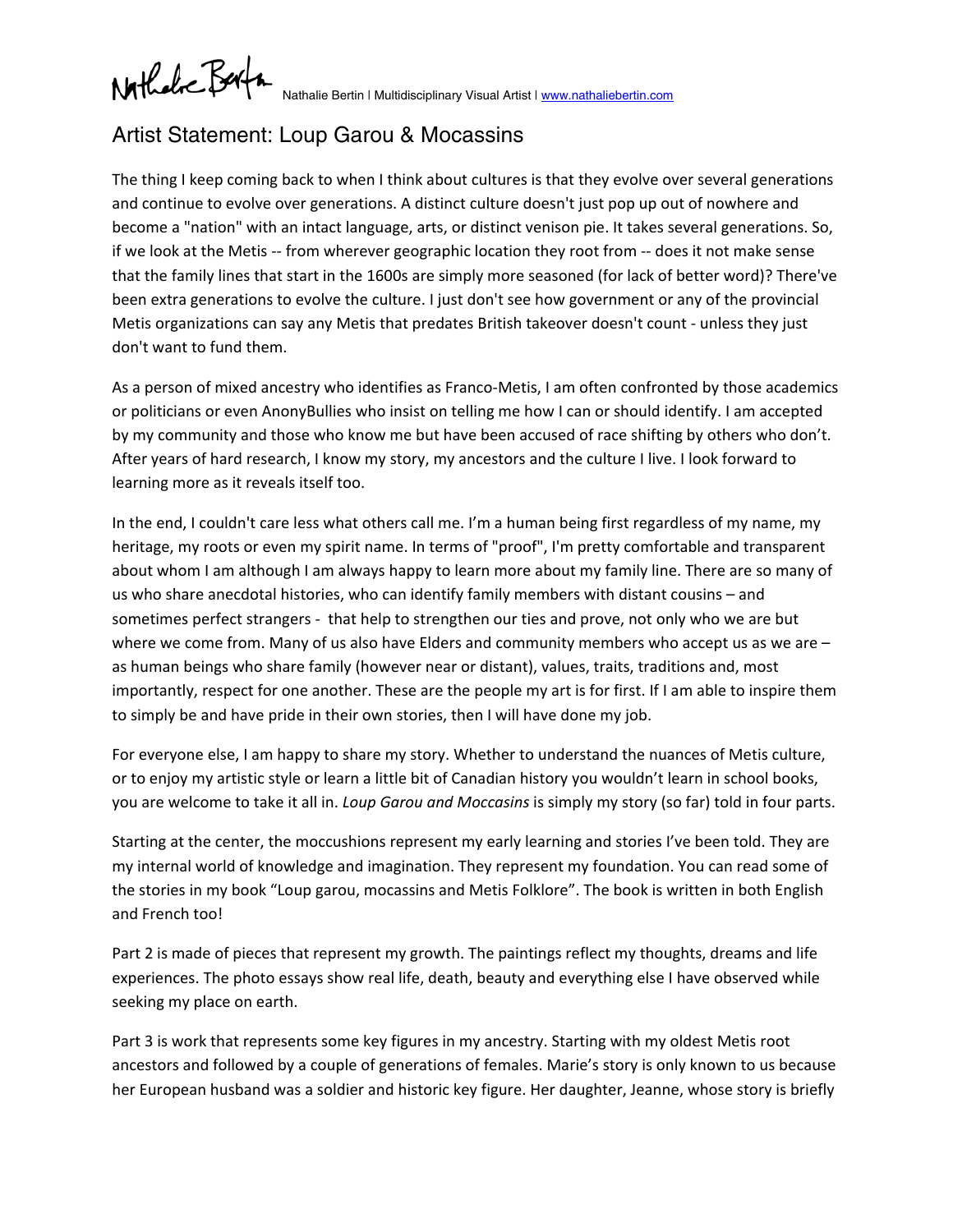Nathalic Berta

Nathalie Bertin | Multidisciplinary Visual Artist | [www.nathaliebertin.com](http://www.nathaliebertin.com/)

## Artist Statement: Loup Garou & Mocassins

The thing I keep coming back to when I think about cultures is that they evolve over several generations and continue to evolve over generations. A distinct culture doesn't just pop up out of nowhere and become a "nation" with an intact language, arts, or distinct venison pie. It takes several generations. So, if we look at the Metis -- from wherever geographic location they root from -- does it not make sense that the family lines that start in the 1600s are simply more seasoned (for lack of better word)? There've been extra generations to evolve the culture. I just don't see how government or any of the provincial Metis organizations can say any Metis that predates British takeover doesn't count - unless they just don't want to fund them.

As a person of mixed ancestry who identifies as Franco-Metis, I am often confronted by those academics or politicians or even AnonyBullies who insist on telling me how I can or should identify. I am accepted by my community and those who know me but have been accused of race shifting by others who don't. After years of hard research, I know my story, my ancestors and the culture I live. I look forward to learning more as it reveals itself too.

In the end, I couldn't care less what others call me. I'm a human being first regardless of my name, my heritage, my roots or even my spirit name. In terms of "proof", I'm pretty comfortable and transparent about whom I am although I am always happy to learn more about my family line. There are so many of us who share anecdotal histories, who can identify family members with distant cousins – and sometimes perfect strangers - that help to strengthen our ties and prove, not only who we are but where we come from. Many of us also have Elders and community members who accept us as we are – as human beings who share family (however near or distant), values, traits, traditions and, most importantly, respect for one another. These are the people my art is for first. If I am able to inspire them to simply be and have pride in their own stories, then I will have done my job.

For everyone else, I am happy to share my story. Whether to understand the nuances of Metis culture, or to enjoy my artistic style or learn a little bit of Canadian history you wouldn't learn in school books, you are welcome to take it all in. *Loup Garou and Moccasins* is simply my story (so far) told in four parts.

Starting at the center, the moccushions represent my early learning and stories I've been told. They are my internal world of knowledge and imagination. They represent my foundation. You can read some of the stories in my book "Loup garou, mocassins and Metis Folklore". The book is written in both English and French too!

Part 2 is made of pieces that represent my growth. The paintings reflect my thoughts, dreams and life experiences. The photo essays show real life, death, beauty and everything else I have observed while seeking my place on earth.

Part 3 is work that represents some key figures in my ancestry. Starting with my oldest Metis root ancestors and followed by a couple of generations of females. Marie's story is only known to us because her European husband was a soldier and historic key figure. Her daughter, Jeanne, whose story is briefly